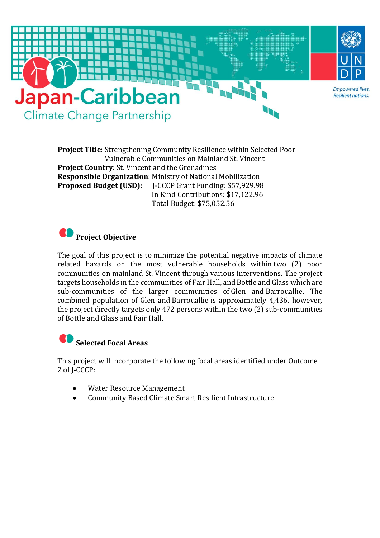

**Project Title**: Strengthening Community Resilience within Selected Poor Vulnerable Communities on Mainland St. Vincent **Project Country**: St. Vincent and the Grenadines **Responsible Organization**: Ministry of National Mobilization **Proposed Budget (USD):** J-CCCP Grant Funding: \$57,929.98 In Kind Contributions: \$17,122.96 Total Budget: \$75,052.56

## **Project Objective**

The goal of this project is to minimize the potential negative impacts of climate related hazards on the most vulnerable households within two (2) poor communities on mainland St. Vincent through various interventions. The project targets households in the communities of Fair Hall, and Bottle and Glass which are sub-communities of the larger communities of Glen and Barrouallie. The combined population of Glen and Barrouallie is approximately 4,436, however, the project directly targets only 472 persons within the two (2) sub-communities of Bottle and Glass and Fair Hall.

**Selected Focal Areas**

This project will incorporate the following focal areas identified under Outcome 2 of J-CCCP:

- Water Resource Management
- Community Based Climate Smart Resilient Infrastructure